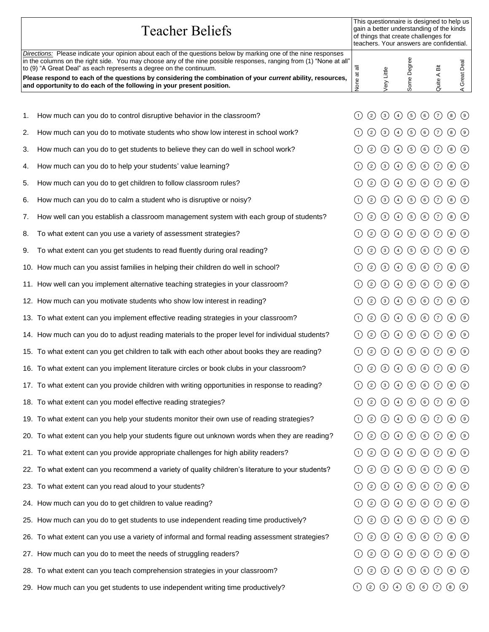|    | <b>Teacher Beliefs</b>                                                                                                                                                                                                                                                                                                                                                                                                                                                                               | This questionnaire is designed to help us<br>gain a better understanding of the kinds<br>of things that create challenges for<br>teachers. Your answers are confidential. |               |                  |                                                                                                                   |                |         |             |                                                |                 |
|----|------------------------------------------------------------------------------------------------------------------------------------------------------------------------------------------------------------------------------------------------------------------------------------------------------------------------------------------------------------------------------------------------------------------------------------------------------------------------------------------------------|---------------------------------------------------------------------------------------------------------------------------------------------------------------------------|---------------|------------------|-------------------------------------------------------------------------------------------------------------------|----------------|---------|-------------|------------------------------------------------|-----------------|
|    | Directions: Please indicate your opinion about each of the questions below by marking one of the nine responses<br>in the columns on the right side. You may choose any of the nine possible responses, ranging from (1) "None at all"<br>to (9) "A Great Deal" as each represents a degree on the continuum.<br>Please respond to each of the questions by considering the combination of your current ability, resources,<br>and opportunity to do each of the following in your present position. | ᄛ<br>$\vec{a}$<br>None                                                                                                                                                    |               | ery Little       |                                                                                                                   | Some Degree    |         | Quite A Bit |                                                | Great Deal<br>4 |
|    |                                                                                                                                                                                                                                                                                                                                                                                                                                                                                                      |                                                                                                                                                                           |               |                  |                                                                                                                   |                |         |             |                                                |                 |
| 1. | How much can you do to control disruptive behavior in the classroom?                                                                                                                                                                                                                                                                                                                                                                                                                                 | (1)                                                                                                                                                                       | $\circled{2}$ | $\odot$          | $(4)$ (5) (6) (7)                                                                                                 |                |         |             | $\circled{8}$                                  | $\circledcirc$  |
| 2. | How much can you do to motivate students who show low interest in school work?                                                                                                                                                                                                                                                                                                                                                                                                                       |                                                                                                                                                                           | $\circled{2}$ | $\left(3\right)$ | $\circled{4}$                                                                                                     | $\circled{5}$  | $\odot$ | $\odot$     | $\left( \begin{matrix} 8 \end{matrix} \right)$ | (9)             |
| 3. | How much can you do to get students to believe they can do well in school work?                                                                                                                                                                                                                                                                                                                                                                                                                      |                                                                                                                                                                           | $\circled{2}$ | $\left(3\right)$ | $\circled{4}$                                                                                                     | $\circled{5}$  | $\odot$ | $\odot$     | $\circled{8}$                                  | $\circled{9}$   |
| 4. | How much can you do to help your students' value learning?                                                                                                                                                                                                                                                                                                                                                                                                                                           | (1)                                                                                                                                                                       | $\circled{2}$ | $\circled{3}$    | $\bigodot$                                                                                                        | $\circled{5}$  | $\odot$ | $\odot$     | $\circled{})$                                  | (9)             |
| 5. | How much can you do to get children to follow classroom rules?                                                                                                                                                                                                                                                                                                                                                                                                                                       |                                                                                                                                                                           | $\circled{2}$ | $\circled{3}$    | $\bigcirc$                                                                                                        | $\odot$        | $\odot$ | $\odot$     | $\circled{})$                                  | (9)             |
| 6. | How much can you do to calm a student who is disruptive or noisy?                                                                                                                                                                                                                                                                                                                                                                                                                                    |                                                                                                                                                                           | $\circled{2}$ | $\left(3\right)$ | $\left(4\right)$                                                                                                  | $\circled{5}$  | $\odot$ | $\odot$     | $\left( \begin{matrix} 8 \end{matrix} \right)$ | (9)             |
| 7. | How well can you establish a classroom management system with each group of students?                                                                                                                                                                                                                                                                                                                                                                                                                |                                                                                                                                                                           | $\circled{2}$ | $\circled{3}$    | $\circled{4}$                                                                                                     | $\odot$        | $\odot$ | $\odot$     | $\circled{})$                                  | $\circ$         |
| 8. | To what extent can you use a variety of assessment strategies?                                                                                                                                                                                                                                                                                                                                                                                                                                       |                                                                                                                                                                           | $\circled{2}$ | $\odot$          | $\odot$                                                                                                           | $\odot$        | $\odot$ | $\odot$     | $\circled{8}$                                  | $\circled{9}$   |
| 9. | To what extent can you get students to read fluently during oral reading?                                                                                                                                                                                                                                                                                                                                                                                                                            |                                                                                                                                                                           | $\circled{2}$ | $\left(3\right)$ | $\bigcirc$                                                                                                        | $\circledcirc$ |         | $\odot$     | (8)                                            | $\circled{9}$   |
|    | 10. How much can you assist families in helping their children do well in school?                                                                                                                                                                                                                                                                                                                                                                                                                    |                                                                                                                                                                           | $\circled{2}$ | $\left(3\right)$ | $\circled{4}$                                                                                                     | $\odot$        | $\odot$ | $\odot$     | $\left( \begin{matrix} 8 \end{matrix} \right)$ | (9)             |
|    | 11. How well can you implement alternative teaching strategies in your classroom?                                                                                                                                                                                                                                                                                                                                                                                                                    | (1)                                                                                                                                                                       | $\circled{2}$ | $\circled{3}$    | $\odot$                                                                                                           | $\odot$        | $\odot$ | $\odot$     | $\circled{8}$                                  | $\circled{9}$   |
|    | 12. How much can you motivate students who show low interest in reading?                                                                                                                                                                                                                                                                                                                                                                                                                             | (1)                                                                                                                                                                       | $\odot$       | $\odot$          | $\odot$                                                                                                           | $\odot$        | $\odot$ | $\odot$     | $\circled{8}$                                  | $\circled{9}$   |
|    | 13. To what extent can you implement effective reading strategies in your classroom?                                                                                                                                                                                                                                                                                                                                                                                                                 |                                                                                                                                                                           | $\circled{2}$ | $\circled{3}$    | $\circled{4}$                                                                                                     | $\odot$        | $\odot$ | $\odot$     | $\circled{8}$                                  | (9)             |
|    | 14. How much can you do to adjust reading materials to the proper level for individual students?                                                                                                                                                                                                                                                                                                                                                                                                     |                                                                                                                                                                           | $\circled{2}$ | $\left(3\right)$ | $\left( 4\right)$                                                                                                 | ⑤              | $\odot$ | $\odot$     | $\left( \begin{matrix} 8 \end{matrix} \right)$ | (9)             |
|    | 15. To what extent can you get children to talk with each other about books they are reading?                                                                                                                                                                                                                                                                                                                                                                                                        |                                                                                                                                                                           | (2)           | (3)              | $\left(4\right)$                                                                                                  | $\circled{5}$  | $\odot$ | $\odot$     | (8)                                            | (9)             |
|    | 16. To what extent can you implement literature circles or book clubs in your classroom?                                                                                                                                                                                                                                                                                                                                                                                                             | (1)                                                                                                                                                                       | $\odot$       | $\odot$          | $\bigcirc$                                                                                                        | $\odot$        | $\odot$ | $\odot$     | $\circled{})$                                  | $\odot$         |
|    | 17. To what extent can you provide children with writing opportunities in response to reading?                                                                                                                                                                                                                                                                                                                                                                                                       | (1)                                                                                                                                                                       | $\circled{2}$ |                  | $(3)$ $(4)$ $(5)$ $(6)$ $(7)$ $(8)$ $(9)$                                                                         |                |         |             |                                                |                 |
|    | 18. To what extent can you model effective reading strategies?                                                                                                                                                                                                                                                                                                                                                                                                                                       | (1)                                                                                                                                                                       | $\odot$       |                  | $\textcircled{3} \textcircled{4} \textcircled{5} \textcircled{6} \textcircled{7} \textcircled{8} \textcircled{9}$ |                |         |             |                                                |                 |
|    | 19. To what extent can you help your students monitor their own use of reading strategies?                                                                                                                                                                                                                                                                                                                                                                                                           |                                                                                                                                                                           | $\circled{2}$ |                  | $\textcircled{3} \textcircled{4} \textcircled{5} \textcircled{6} \textcircled{7} \textcircled{8} \textcircled{9}$ |                |         |             |                                                |                 |
|    | 20. To what extent can you help your students figure out unknown words when they are reading?                                                                                                                                                                                                                                                                                                                                                                                                        |                                                                                                                                                                           | $\circled{2}$ | $\circled{3}$    | $(4)$ (5) (6) (7)                                                                                                 |                |         |             | $\circledcirc$                                 |                 |
|    | 21. To what extent can you provide appropriate challenges for high ability readers?                                                                                                                                                                                                                                                                                                                                                                                                                  | (1)                                                                                                                                                                       | $\circled{2}$ |                  | $(3) (4) (5) (6) (7) (8) (9)$                                                                                     |                |         |             |                                                |                 |
|    | 22. To what extent can you recommend a variety of quality children's literature to your students?                                                                                                                                                                                                                                                                                                                                                                                                    | (1)                                                                                                                                                                       | $\circled{2}$ |                  | $\textcircled{3} \textcircled{4} \textcircled{5} \textcircled{6} \textcircled{7} \textcircled{8} \textcircled{9}$ |                |         |             |                                                |                 |
|    | 23. To what extent can you read aloud to your students?                                                                                                                                                                                                                                                                                                                                                                                                                                              |                                                                                                                                                                           | $\circled{2}$ |                  | $\textcircled{3} \textcircled{4} \textcircled{5} \textcircled{6} \textcircled{7} \textcircled{8} \textcircled{9}$ |                |         |             |                                                |                 |
|    | 24. How much can you do to get children to value reading?                                                                                                                                                                                                                                                                                                                                                                                                                                            |                                                                                                                                                                           | $\circled{2}$ |                  | $\circled{3}$ $\circled{4}$ $\circled{5}$ $\circled{6}$ $\circled{7}$ $\circled{9}$                               |                |         |             |                                                |                 |
|    | 25. How much can you do to get students to use independent reading time productively?                                                                                                                                                                                                                                                                                                                                                                                                                | (1)                                                                                                                                                                       | $\circled{2}$ |                  | $(3) (4) (5) (6) (7) (8) (9)$                                                                                     |                |         |             |                                                |                 |
|    | 26. To what extent can you use a variety of informal and formal reading assessment strategies?                                                                                                                                                                                                                                                                                                                                                                                                       | (1)                                                                                                                                                                       | $\circled{2}$ |                  | $(3) (4) (5) (6) (7) (8) (9)$                                                                                     |                |         |             |                                                |                 |
|    | 27. How much can you do to meet the needs of struggling readers?                                                                                                                                                                                                                                                                                                                                                                                                                                     |                                                                                                                                                                           | $\circled{2}$ |                  | $\textcircled{3} \textcircled{4} \textcircled{5} \textcircled{6} \textcircled{7} \textcircled{8} \textcircled{9}$ |                |         |             |                                                |                 |
|    | 28. To what extent can you teach comprehension strategies in your classroom?                                                                                                                                                                                                                                                                                                                                                                                                                         |                                                                                                                                                                           | $\circled{2}$ |                  | $(3)$ (4) (5) (6) (7) (8) (9)                                                                                     |                |         |             |                                                |                 |
|    | 29. How much can you get students to use independent writing time productively?                                                                                                                                                                                                                                                                                                                                                                                                                      | $\circlearrowleft$                                                                                                                                                        |               |                  | $(2)$ $(3)$ $(4)$ $(5)$ $(6)$ $(7)$ $(8)$ $(9)$                                                                   |                |         |             |                                                |                 |